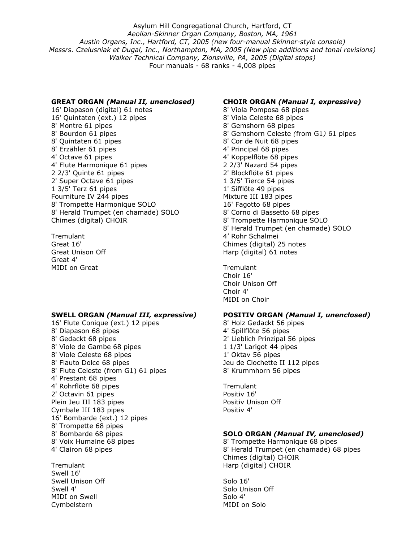Asylum Hill Congregational Church, Hartford, CT *Aeolian-Skinner Organ Company, Boston, MA, 1961 Austin Organs, Inc., Hartford, CT, 2005 (new four-manual Skinner-style console) Messrs. Czelusniak et Dugal, Inc., Northampton, MA, 2005 (New pipe additions and tonal revisions) Walker Technical Company, Zionsville, PA, 2005 (Digital stops)*  Four manuals - 68 ranks - 4,008 pipes

### **GREAT ORGAN** *(Manual II, unenclosed)*

16' Diapason (digital) 61 notes 16' Quintaten (ext.) 12 pipes 8' Montre 61 pipes 8' Bourdon 61 pipes 8' Quintaten 61 pipes 8' Erzähler 61 pipes 4' Octave 61 pipes 4' Flute Harmonique 61 pipes 2 2/3' Quinte 61 pipes 2' Super Octave 61 pipes 1 3/5' Terz 61 pipes Fourniture IV 244 pipes 8' Trompette Harmonique SOLO 8' Herald Trumpet (en chamade) SOLO Chimes (digital) CHOIR

Tremulant Great 16' Great Unison Off Great 4' MIDI on Great

#### **SWELL ORGAN** *(Manual III, expressive)*

16' Flute Conique (ext.) 12 pipes 8' Diapason 68 pipes 8' Gedackt 68 pipes 8' Viole de Gambe 68 pipes 8' Viole Celeste 68 pipes 8' Flauto Dolce 68 pipes 8' Flute Celeste (from G1) 61 pipes 4' Prestant 68 pipes 4' Rohrflöte 68 pipes 2' Octavin 61 pipes Plein Jeu III 183 pipes Cymbale III 183 pipes 16' Bombarde (ext.) 12 pipes 8' Trompette 68 pipes 8' Bombarde 68 pipes 8' Voix Humaine 68 pipes 4' Clairon 68 pipes

**Tremulant** Swell 16' Swell Unison Off Swell 4' MIDI on Swell Cymbelstern

## **CHOIR ORGAN** *(Manual I, expressive)*

8' Viola Pomposa 68 pipes 8' Viola Celeste 68 pipes 8' Gemshorn 68 pipes 8' Gemshorn Celeste *(*from G1*)* 61 pipes 8' Cor de Nuit 68 pipes 4' Principal 68 pipes 4' Koppelflöte 68 pipes 2 2/3' Nazard 54 pipes 2' Blockflöte 61 pipes 1 3/5' Tierce 54 pipes 1' Sifflöte 49 pipes Mixture III 183 pipes 16' Fagotto 68 pipes 8' Corno di Bassetto 68 pipes 8' Trompette Harmonique SOLO 8' Herald Trumpet (en chamade) SOLO 4' Rohr Schalmei Chimes (digital) 25 notes Harp (digital) 61 notes

**Tremulant** Choir 16' Choir Unison Off Choir 4' MIDI on Choir

# **POSITIV ORGAN** *(Manual I, unenclosed)*

8' Holz Gedackt 56 pipes 4' Spillflöte 56 pipes 2' Lieblich Prinzipal 56 pipes 1 1/3' Larigot 44 pipes 1' Oktav 56 pipes Jeu de Clochette II 112 pipes 8' Krummhorn 56 pipes

**Tremulant** Positiv 16' Positiv Unison Off Positiv 4'

# **SOLO ORGAN** *(Manual IV, unenclosed)*

8' Trompette Harmonique 68 pipes 8' Herald Trumpet (en chamade) 68 pipes Chimes (digital) CHOIR Harp (digital) CHOIR

Solo 16' Solo Unison Off Solo 4' MIDI on Solo